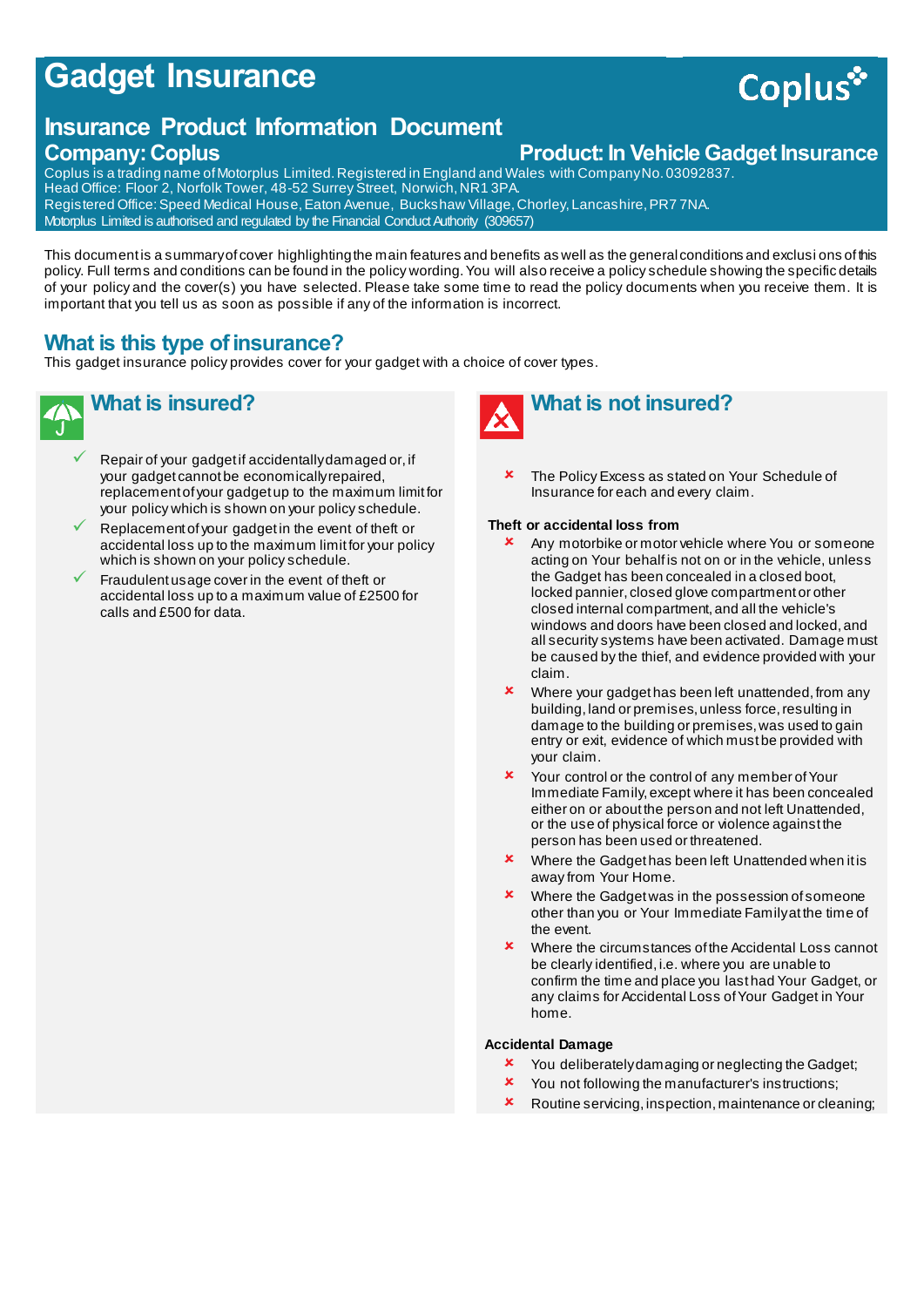# **Gadget Insurance**

# **Insurance Product Information Document**

### **Company: Coplus Company: Coplus Product: In Vehicle Gadget Insurance**

Coplus is a trading name of Motorplus Limited. Registered in England and Wales with Company No. 03092837. Head Office: Floor 2, Norfolk Tower, 48-52 Surrey Street, Norwich, NR1 3PA. Registered Office: Speed Medical House, Eaton Avenue, Buckshaw Village, Chorley, Lancashire, PR7 7NA. Motorplus Limited is authorised and regulated by the Financial Conduct Authority (309657)

This document is a summary of cover highlighting the main features and benefits as well as the general conditions and exclusi ons of this policy. Full terms and conditions can be found in the policy wording. You will also receive a policy schedule showing the specific details of your policy and the cover(s) you have selected. Please take some time to read the policy documents when you receive them. It is important that you tell us as soon as possible if any of the information is incorrect.

# **What is this type of insurance?**

This gadget insurance policy provides cover for your gadget with a choice of cover types.

# **What is insured?**

- Repair of your gadget if accidentally damaged or, if your gadget cannot be economically repaired, replacement of your gadget up to the maximum limit for your policy which is shown on your policy schedule.
- Replacement of your gadget in the event of theft or accidental loss up to the maximum limit for your policy which is shown on your policy schedule.
- Fraudulent usage cover in the event of theft or accidental loss up to a maximum value of £2500 for calls and £500 for data.



 The Policy Excess as stated on Your Schedule of Insurance for each and every claim.

#### **Theft or accidental loss from**

- Any motorbike or motor vehicle where You or someone acting on Your behalf is not on or in the vehicle, unless the Gadget has been concealed in a closed boot, locked pannier, closed glove compartment or other closed internal compartment, and all the vehicle's windows and doors have been closed and locked, and all security systems have been activated. Damage must be caused by the thief, and evidence provided with your claim.
- Where your gadget has been left unattended, from any building, land or premises, unless force, resulting in damage to the building or premises, was used to gain entry or exit, evidence of which must be provided with your claim.
- Your control or the control of any member of Your Immediate Family, except where it has been concealed either on or about the person and not left Unattended, or the use of physical force or violence against the person has been used or threatened.
- Where the Gadget has been left Unattended when it is away from Your Home.
- **\*** Where the Gadget was in the possession of someone other than you or Your Immediate Family at the time of the event.
- **\*** Where the circumstances of the Accidental Loss cannot be clearly identified, i.e. where you are unable to confirm the time and place you last had Your Gadget, or any claims for Accidental Loss of Your Gadget in Your home.

#### **Accidental Damage**

- **x** You deliberately damaging or neglecting the Gadget;
- **x** You not following the manufacturer's instructions;
- **x** Routine servicing, inspection, maintenance or cleaning;

# **Coplus**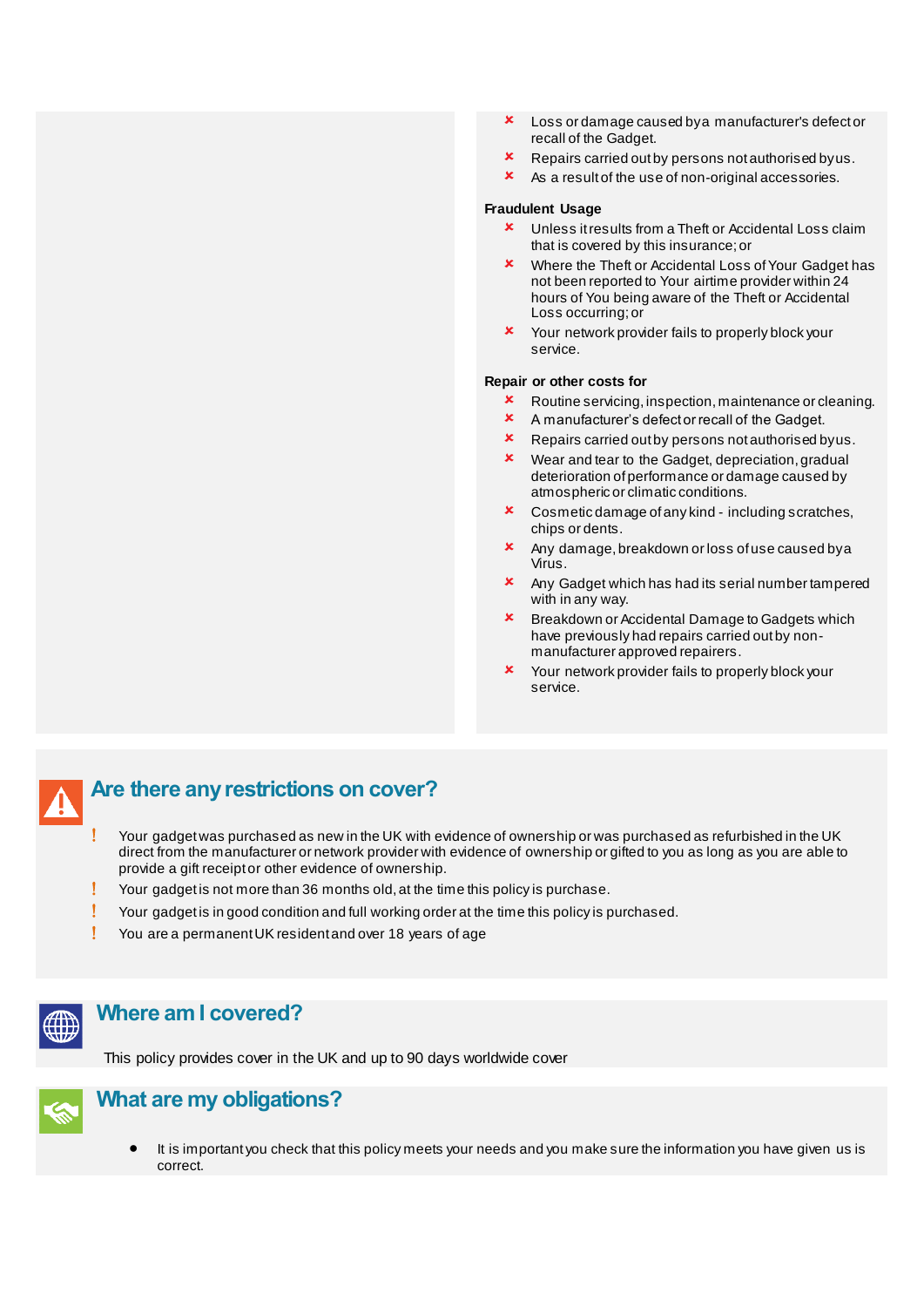- Loss or damage caused by a manufacturer's defect or recall of the Gadget.
- **x** Repairs carried out by persons not authorised by us.
- As a result of the use of non-original accessories.

#### **Fraudulent Usage**

- **x** Unless it results from a Theft or Accidental Loss claim that is covered by this insurance; or
- **\*** Where the Theft or Accidental Loss of Your Gadget has not been reported to Your airtime provider within 24 hours of You being aware of the Theft or Accidental Loss occurring; or
- **x** Your network provider fails to properly block your service.

#### **Repair or other costs for**

- **x** Routine servicing, inspection, maintenance or cleaning.
- A manufacturer's defect or recall of the Gadget.
- **EX** Repairs carried out by persons not authorised by us.
- **x** Wear and tear to the Gadget, depreciation, gradual deterioration of performance or damage caused by atmospheric or climatic conditions.
- Cosmetic damage of any kind including scratches, chips or dents.
- **x** Any damage, breakdown or loss of use caused by a Virus.
- Any Gadget which has had its serial number tampered with in any way.
- **\*** Breakdown or Accidental Damage to Gadgets which have previously had repairs carried out by nonmanufacturer approved repairers.
- **x** Your network provider fails to properly block your service.

# **Are there any restrictions on cover?**

- Your gadget was purchased as new in the UK with evidence of ownership or was purchased as refurbished in the UK direct from the manufacturer or network provider with evidence of ownership or gifted to you as long as you are able to provide a gift receipt or other evidence of ownership.
- **!** Your gadget is not more than 36 months old, at the time this policy is purchase.
- Your gadget is in good condition and full working order at the time this policy is purchased.
- You are a permanent UK resident and over 18 years of age



# **Where am I covered?**

This policy provides cover in the UK and up to 90 days worldwide cover



## **What are my obligations?**

It is important you check that this policy meets your needs and you make sure the information you have given us is correct.